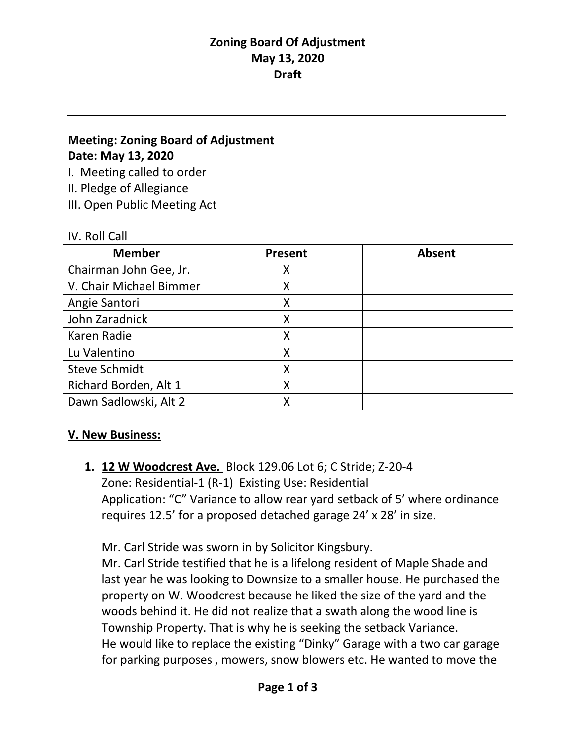# **Meeting: Zoning Board of Adjustment Date: May 13, 2020**

I. Meeting called to order

II. Pledge of Allegiance

III. Open Public Meeting Act

### IV. Roll Call

| <b>Member</b>           | <b>Present</b> | <b>Absent</b> |
|-------------------------|----------------|---------------|
| Chairman John Gee, Jr.  | х              |               |
| V. Chair Michael Bimmer |                |               |
| Angie Santori           |                |               |
| John Zaradnick          |                |               |
| Karen Radie             | Χ              |               |
| Lu Valentino            |                |               |
| <b>Steve Schmidt</b>    |                |               |
| Richard Borden, Alt 1   |                |               |
| Dawn Sadlowski, Alt 2   |                |               |

# **V. New Business:**

**1. 12 W Woodcrest Ave.** Block 129.06 Lot 6; C Stride; Z-20-4 Zone: Residential-1 (R-1) Existing Use: Residential Application: "C" Variance to allow rear yard setback of 5' where ordinance requires 12.5' for a proposed detached garage 24' x 28' in size.

Mr. Carl Stride was sworn in by Solicitor Kingsbury. Mr. Carl Stride testified that he is a lifelong resident of Maple Shade and last year he was looking to Downsize to a smaller house. He purchased the property on W. Woodcrest because he liked the size of the yard and the woods behind it. He did not realize that a swath along the wood line is Township Property. That is why he is seeking the setback Variance. He would like to replace the existing "Dinky" Garage with a two car garage for parking purposes , mowers, snow blowers etc. He wanted to move the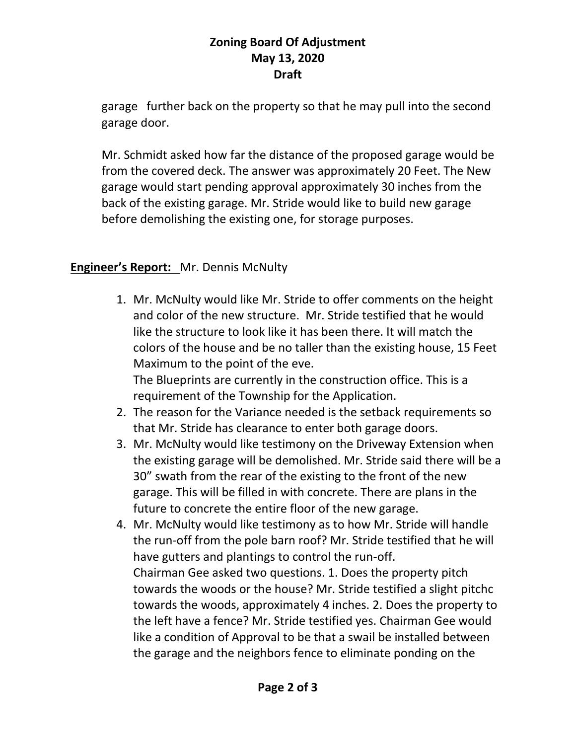garage further back on the property so that he may pull into the second garage door.

Mr. Schmidt asked how far the distance of the proposed garage would be from the covered deck. The answer was approximately 20 Feet. The New garage would start pending approval approximately 30 inches from the back of the existing garage. Mr. Stride would like to build new garage before demolishing the existing one, for storage purposes.

# **Engineer's Report:** Mr. Dennis McNulty

1. Mr. McNulty would like Mr. Stride to offer comments on the height and color of the new structure. Mr. Stride testified that he would like the structure to look like it has been there. It will match the colors of the house and be no taller than the existing house, 15 Feet Maximum to the point of the eve.

The Blueprints are currently in the construction office. This is a requirement of the Township for the Application.

- 2. The reason for the Variance needed is the setback requirements so that Mr. Stride has clearance to enter both garage doors.
- 3. Mr. McNulty would like testimony on the Driveway Extension when the existing garage will be demolished. Mr. Stride said there will be a 30" swath from the rear of the existing to the front of the new garage. This will be filled in with concrete. There are plans in the future to concrete the entire floor of the new garage.
- 4. Mr. McNulty would like testimony as to how Mr. Stride will handle the run-off from the pole barn roof? Mr. Stride testified that he will have gutters and plantings to control the run-off. Chairman Gee asked two questions. 1. Does the property pitch towards the woods or the house? Mr. Stride testified a slight pitchc towards the woods, approximately 4 inches. 2. Does the property to the left have a fence? Mr. Stride testified yes. Chairman Gee would like a condition of Approval to be that a swail be installed between the garage and the neighbors fence to eliminate ponding on the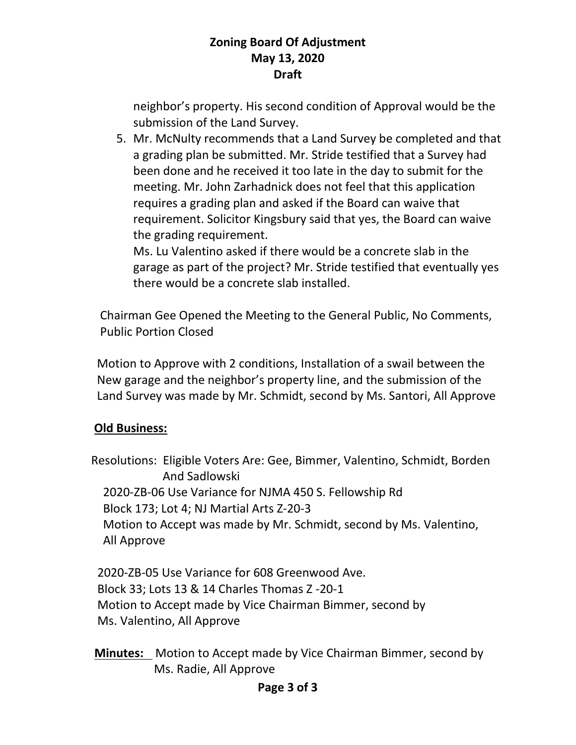neighbor's property. His second condition of Approval would be the submission of the Land Survey.

5. Mr. McNulty recommends that a Land Survey be completed and that a grading plan be submitted. Mr. Stride testified that a Survey had been done and he received it too late in the day to submit for the meeting. Mr. John Zarhadnick does not feel that this application requires a grading plan and asked if the Board can waive that requirement. Solicitor Kingsbury said that yes, the Board can waive the grading requirement.

Ms. Lu Valentino asked if there would be a concrete slab in the garage as part of the project? Mr. Stride testified that eventually yes there would be a concrete slab installed.

 Chairman Gee Opened the Meeting to the General Public, No Comments, Public Portion Closed

 Motion to Approve with 2 conditions, Installation of a swail between the New garage and the neighbor's property line, and the submission of the Land Survey was made by Mr. Schmidt, second by Ms. Santori, All Approve

# **Old Business:**

 Resolutions: Eligible Voters Are: Gee, Bimmer, Valentino, Schmidt, Borden And Sadlowski 2020-ZB-06 Use Variance for NJMA 450 S. Fellowship Rd Block 173; Lot 4; NJ Martial Arts Z-20-3 Motion to Accept was made by Mr. Schmidt, second by Ms. Valentino, All Approve

 2020-ZB-05 Use Variance for 608 Greenwood Ave. Block 33; Lots 13 & 14 Charles Thomas Z -20-1 Motion to Accept made by Vice Chairman Bimmer, second by Ms. Valentino, All Approve

 **Minutes:** Motion to Accept made by Vice Chairman Bimmer, second by Ms. Radie, All Approve